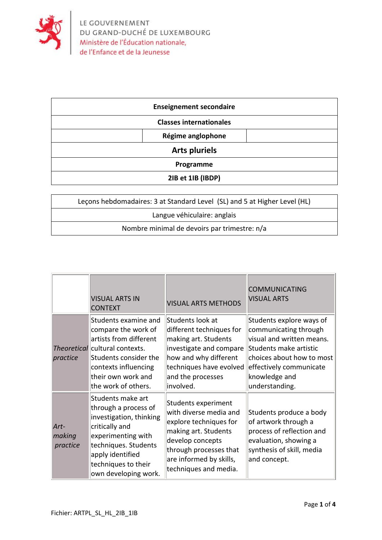

| <b>Enseignement secondaire</b> |  |  |
|--------------------------------|--|--|
| <b>Classes internationales</b> |  |  |
| Régime anglophone              |  |  |
| <b>Arts pluriels</b>           |  |  |
| Programme                      |  |  |
| 2IB et 1IB (IBDP)              |  |  |

| Lecons hebdomadaires: 3 at Standard Level (SL) and 5 at Higher Level (HL) |  |
|---------------------------------------------------------------------------|--|
| Langue véhiculaire: anglais                                               |  |
| Nombre minimal de devoirs par trimestre: n/a                              |  |

|                            | <b>VISUAL ARTS IN</b><br><b>CONTEXT</b>                                                                                                                                                                 | <b>VISUAL ARTS METHODS</b>                                                                                                                                                                        | <b>COMMUNICATING</b><br><b>VISUAL ARTS</b>                                                                                                                                                          |
|----------------------------|---------------------------------------------------------------------------------------------------------------------------------------------------------------------------------------------------------|---------------------------------------------------------------------------------------------------------------------------------------------------------------------------------------------------|-----------------------------------------------------------------------------------------------------------------------------------------------------------------------------------------------------|
| practice                   | Students examine and<br>compare the work of<br>artists from different<br>Theoretical cultural contexts.<br>Students consider the<br>contexts influencing<br>their own work and<br>the work of others.   | Students look at<br>different techniques for<br>making art. Students<br>investigate and compare<br>how and why different<br>techniques have evolved<br>and the processes<br>involved.             | Students explore ways of<br>communicating through<br>visual and written means.<br>Students make artistic<br>choices about how to most<br>effectively communicate<br>knowledge and<br>understanding. |
| Art-<br>making<br>practice | Students make art<br>through a process of<br>investigation, thinking<br>critically and<br>experimenting with<br>techniques. Students<br>apply identified<br>techniques to their<br>own developing work. | Students experiment<br>with diverse media and<br>explore techniques for<br>making art. Students<br>develop concepts<br>through processes that<br>are informed by skills,<br>techniques and media. | Students produce a body<br>of artwork through a<br>process of reflection and<br>evaluation, showing a<br>synthesis of skill, media<br>and concept.                                                  |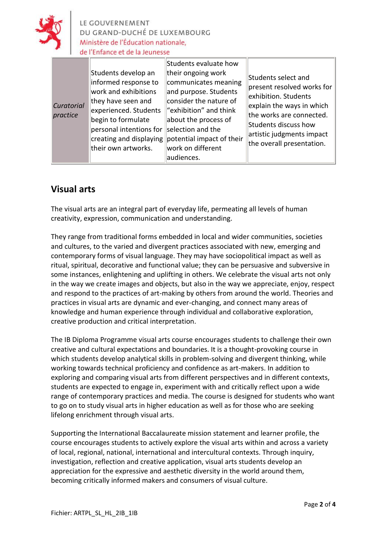

LE GOUVERNEMENT DU GRAND-DUCHÉ DE LUXEMBOURG Ministère de l'Éducation nationale. de l'Enfance et de la Jeunesse

|                        |                                                                                                                                                                                                                       | Students evaluate how                                                                                                                                                                                                                |                                                                                                                                                                                                                      |
|------------------------|-----------------------------------------------------------------------------------------------------------------------------------------------------------------------------------------------------------------------|--------------------------------------------------------------------------------------------------------------------------------------------------------------------------------------------------------------------------------------|----------------------------------------------------------------------------------------------------------------------------------------------------------------------------------------------------------------------|
| Curatorial<br>practice | Students develop an<br>informed response to<br>work and exhibitions<br>they have seen and<br>experienced. Students<br>begin to formulate<br>personal intentions for<br>creating and displaying<br>their own artworks. | their ongoing work<br>communicates meaning<br>and purpose. Students<br>consider the nature of<br>"exhibition" and think<br>about the process of<br>selection and the<br>potential impact of their<br>work on different<br>audiences. | Students select and<br>present resolved works for<br>exhibition. Students<br>explain the ways in which<br>the works are connected.<br>Students discuss how<br>artistic judgments impact<br>the overall presentation. |

## **Visual arts**

The visual arts are an integral part of everyday life, permeating all levels of human creativity, expression, communication and understanding.

They range from traditional forms embedded in local and wider communities, societies and cultures, to the varied and divergent practices associated with new, emerging and contemporary forms of visual language. They may have sociopolitical impact as well as ritual, spiritual, decorative and functional value; they can be persuasive and subversive in some instances, enlightening and uplifting in others. We celebrate the visual arts not only in the way we create images and objects, but also in the way we appreciate, enjoy, respect and respond to the practices of art-making by others from around the world. Theories and practices in visual arts are dynamic and ever-changing, and connect many areas of knowledge and human experience through individual and collaborative exploration, creative production and critical interpretation.

The IB Diploma Programme visual arts course encourages students to challenge their own creative and cultural expectations and boundaries. It is a thought-provoking course in which students develop analytical skills in problem-solving and divergent thinking, while working towards technical proficiency and confidence as art-makers. In addition to exploring and comparing visual arts from different perspectives and in different contexts, students are expected to engage in, experiment with and critically reflect upon a wide range of contemporary practices and media. The course is designed for students who want to go on to study visual arts in higher education as well as for those who are seeking lifelong enrichment through visual arts.

Supporting the International Baccalaureate mission statement and learner profile, the course encourages students to actively explore the visual arts within and across a variety of local, regional, national, international and intercultural contexts. Through inquiry, investigation, reflection and creative application, visual arts students develop an appreciation for the expressive and aesthetic diversity in the world around them, becoming critically informed makers and consumers of visual culture.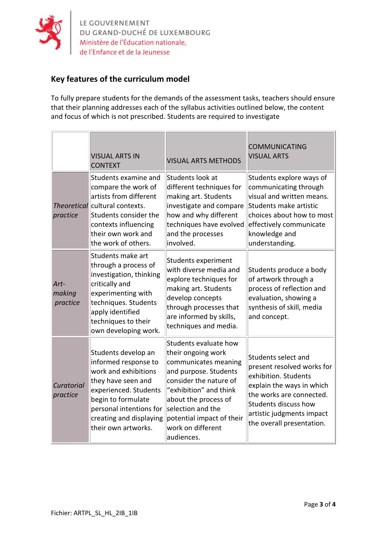

LE GOUVERNEMENT<br>DU GRAND-DUCHÉ DE LUXEMBOURG<br>Ministère de l'Éducation nationale, de l'Enfance et de la Jeunesse

## **Key features of the curriculum model**

To fully prepare students for the demands of the assessment tasks, teachers should ensure that their planning addresses each of the syllabus activities outlined below, the content and focus of which is not prescribed. Students are required to investigate

|                            | <b>VISUAL ARTS IN</b><br><b>CONTEXT</b>                                                                                                                                                                               | <b>VISUAL ARTS METHODS</b>                                                                                                                                                                                                                                    | <b>COMMUNICATING</b><br><b>VISUAL ARTS</b>                                                                                                                                                                           |
|----------------------------|-----------------------------------------------------------------------------------------------------------------------------------------------------------------------------------------------------------------------|---------------------------------------------------------------------------------------------------------------------------------------------------------------------------------------------------------------------------------------------------------------|----------------------------------------------------------------------------------------------------------------------------------------------------------------------------------------------------------------------|
| practice                   | Students examine and<br>compare the work of<br>artists from different<br><i>Theoretical</i> cultural contexts.<br>Students consider the<br>contexts influencing<br>their own work and<br>the work of others.          | Students look at<br>different techniques for<br>making art. Students<br>investigate and compare<br>how and why different<br>techniques have evolved<br>and the processes<br>involved.                                                                         | Students explore ways of<br>communicating through<br>visual and written means.<br>Students make artistic<br>choices about how to most<br>effectively communicate<br>knowledge and<br>understanding.                  |
| Art-<br>making<br>practice | Students make art<br>through a process of<br>investigation, thinking<br>critically and<br>experimenting with<br>techniques. Students<br>apply identified<br>techniques to their<br>own developing work.               | Students experiment<br>with diverse media and<br>explore techniques for<br>making art. Students<br>develop concepts<br>through processes that<br>are informed by skills,<br>techniques and media.                                                             | Students produce a body<br>of artwork through a<br>process of reflection and<br>evaluation, showing a<br>synthesis of skill, media<br>and concept.                                                                   |
| Curatorial<br>practice     | Students develop an<br>informed response to<br>work and exhibitions<br>they have seen and<br>experienced. Students<br>begin to formulate<br>personal intentions for<br>creating and displaying<br>their own artworks. | Students evaluate how<br>their ongoing work<br>communicates meaning<br>and purpose. Students<br>consider the nature of<br>"exhibition" and think<br>about the process of<br>selection and the<br>potential impact of their<br>work on different<br>audiences. | Students select and<br>present resolved works for<br>exhibition. Students<br>explain the ways in which<br>the works are connected.<br>Students discuss how<br>artistic judgments impact<br>the overall presentation. |